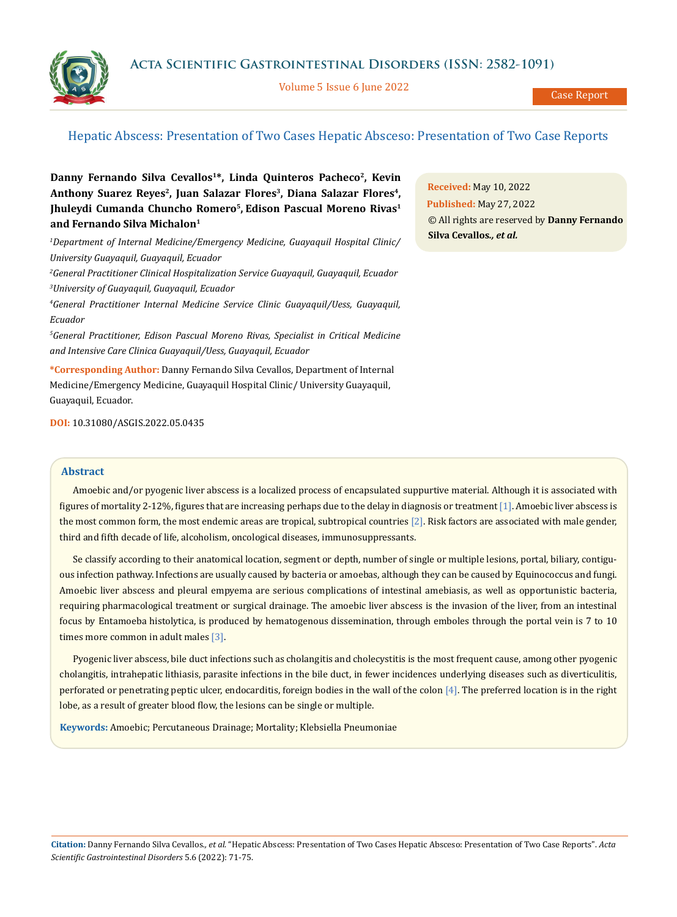**Acta Scientific Gastrointestinal Disorders (ISSN: 2582-1091)**

Volume 5 Issue 6 June 2022

Case Report

# Hepatic Abscess: Presentation of Two Cases Hepatic Absceso: Presentation of Two Case Reports

Danny Fernando Silva Cevallos<sup>1\*</sup>, Linda Quinteros Pacheco<sup>2</sup>, Kevin Anthony Suarez Reyes<sup>2</sup>, Juan Salazar Flores<sup>3</sup>, Diana Salazar Flores<sup>4</sup>, **Jhuleydi Cumanda Chuncho Romero5, Edison Pascual Moreno Rivas1 and Fernando Silva Michalon1**

*1 Department of Internal Medicine/Emergency Medicine, Guayaquil Hospital Clinic/ University Guayaquil, Guayaquil, Ecuador*

*2 General Practitioner Clinical Hospitalization Service Guayaquil, Guayaquil, Ecuador 3 University of Guayaquil, Guayaquil, Ecuador* 

*4 General Practitioner Internal Medicine Service Clinic Guayaquil/Uess, Guayaquil, Ecuador*

*5 General Practitioner, Edison Pascual Moreno Rivas, Specialist in Critical Medicine and Intensive Care Clinica Guayaquil/Uess, Guayaquil, Ecuador*

**\*Corresponding Author:** Danny Fernando Silva Cevallos, Department of Internal Medicine/Emergency Medicine, Guayaquil Hospital Clinic/ University Guayaquil, Guayaquil, Ecuador.

**DOI:** [10.31080/ASGIS.2022.05.0435](https://actascientific.com/ASGIS/pdf/ASGIS-05-0435.pdf)

## **Abstract**

Amoebic and/or pyogenic liver abscess is a localized process of encapsulated suppurtive material. Although it is associated with figures of mortality 2-12%, figures that are increasing perhaps due to the delay in diagnosis or treatment [1]. Amoebic liver abscess is the most common form, the most endemic areas are tropical, subtropical countries [2]. Risk factors are associated with male gender, third and fifth decade of life, alcoholism, oncological diseases, immunosuppressants.

Se classify according to their anatomical location, segment or depth, number of single or multiple lesions, portal, biliary, contiguous infection pathway. Infections are usually caused by bacteria or amoebas, although they can be caused by Equinococcus and fungi. Amoebic liver abscess and pleural empyema are serious complications of intestinal amebiasis, as well as opportunistic bacteria, requiring pharmacological treatment or surgical drainage. The amoebic liver abscess is the invasion of the liver, from an intestinal focus by Entamoeba histolytica, is produced by hematogenous dissemination, through emboles through the portal vein is 7 to 10 times more common in adult males [3].

Pyogenic liver abscess, bile duct infections such as cholangitis and cholecystitis is the most frequent cause, among other pyogenic cholangitis, intrahepatic lithiasis, parasite infections in the bile duct, in fewer incidences underlying diseases such as diverticulitis, perforated or penetrating peptic ulcer, endocarditis, foreign bodies in the wall of the colon [4]. The preferred location is in the right lobe, as a result of greater blood flow, the lesions can be single or multiple.

**Keywords:** Amoebic; Percutaneous Drainage; Mortality; Klebsiella Pneumoniae

**Citation:** Danny Fernando Silva Cevallos*., et al.* "Hepatic Abscess: Presentation of Two Cases Hepatic Absceso: Presentation of Two Case Reports". *Acta Scientific Gastrointestinal Disorders* 5.6 (2022): 71-75.

**Received:** May 10, 2022 **Published:** May 27, 2022 © All rights are reserved by **Danny Fernando Silva Cevallos***., et al.*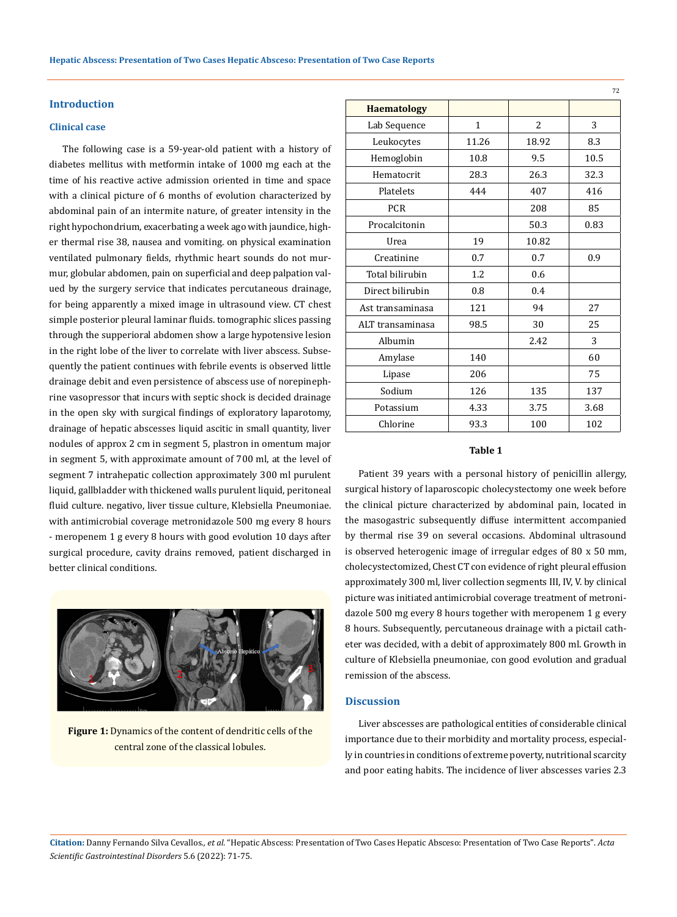## **Introduction**

### **Clinical case**

The following case is a 59-year-old patient with a history of diabetes mellitus with metformin intake of 1000 mg each at the time of his reactive active admission oriented in time and space with a clinical picture of 6 months of evolution characterized by abdominal pain of an intermite nature, of greater intensity in the right hypochondrium, exacerbating a week ago with jaundice, higher thermal rise 38, nausea and vomiting. on physical examination ventilated pulmonary fields, rhythmic heart sounds do not murmur, globular abdomen, pain on superficial and deep palpation valued by the surgery service that indicates percutaneous drainage, for being apparently a mixed image in ultrasound view. CT chest simple posterior pleural laminar fluids. tomographic slices passing through the supperioral abdomen show a large hypotensive lesion in the right lobe of the liver to correlate with liver abscess. Subsequently the patient continues with febrile events is observed little drainage debit and even persistence of abscess use of norepinephrine vasopressor that incurs with septic shock is decided drainage in the open sky with surgical findings of exploratory laparotomy, drainage of hepatic abscesses liquid ascitic in small quantity, liver nodules of approx 2 cm in segment 5, plastron in omentum major in segment 5, with approximate amount of 700 ml, at the level of segment 7 intrahepatic collection approximately 300 ml purulent liquid, gallbladder with thickened walls purulent liquid, peritoneal fluid culture. negativo, liver tissue culture, Klebsiella Pneumoniae. with antimicrobial coverage metronidazole 500 mg every 8 hours - meropenem 1 g every 8 hours with good evolution 10 days after surgical procedure, cavity drains removed, patient discharged in better clinical conditions.



Figure 1: Dynamics of the content of dendritic cells of the central zone of the classical lobules.

| <b>Haematology</b> |              |       |      |
|--------------------|--------------|-------|------|
| Lab Sequence       | $\mathbf{1}$ | 2     | 3    |
| Leukocytes         | 11.26        | 18.92 | 8.3  |
| Hemoglobin         | 10.8         | 9.5   | 10.5 |
| Hematocrit         | 28.3         | 26.3  | 32.3 |
| Platelets          | 444          | 407   | 416  |
| <b>PCR</b>         |              | 208   | 85   |
| Procalcitonin      |              | 50.3  | 0.83 |
| Urea               | 19           | 10.82 |      |
| Creatinine         | 0.7          | 0.7   | 0.9  |
| Total bilirubin    | 1.2          | 0.6   |      |
| Direct bilirubin   | 0.8          | 0.4   |      |
| Ast transaminasa   | 121          | 94    | 27   |
| ALT transaminasa   | 98.5         | 30    | 25   |
| Albumin            |              | 2.42  | 3    |
| Amylase            | 140          |       | 60   |
| Lipase             | 206          |       | 75   |
| Sodium             | 126          | 135   | 137  |
| Potassium          | 4.33         | 3.75  | 3.68 |
| Chlorine           | 93.3         | 100   | 102  |
|                    |              |       |      |

72

### **Table 1**

Patient 39 years with a personal history of penicillin allergy, surgical history of laparoscopic cholecystectomy one week before the clinical picture characterized by abdominal pain, located in the masogastric subsequently diffuse intermittent accompanied by thermal rise 39 on several occasions. Abdominal ultrasound is observed heterogenic image of irregular edges of 80 x 50 mm, cholecystectomized, Chest CT con evidence of right pleural effusion approximately 300 ml, liver collection segments III, IV, V. by clinical picture was initiated antimicrobial coverage treatment of metronidazole 500 mg every 8 hours together with meropenem 1 g every 8 hours. Subsequently, percutaneous drainage with a pictail catheter was decided, with a debit of approximately 800 ml. Growth in culture of Klebsiella pneumoniae, con good evolution and gradual remission of the abscess.

#### **Discussion**

Liver abscesses are pathological entities of considerable clinical importance due to their morbidity and mortality process, especially in countries in conditions of extreme poverty, nutritional scarcity and poor eating habits. The incidence of liver abscesses varies 2.3

**Citation:** Danny Fernando Silva Cevallos*., et al.* "Hepatic Abscess: Presentation of Two Cases Hepatic Absceso: Presentation of Two Case Reports". *Acta Scientific Gastrointestinal Disorders* 5.6 (2022): 71-75.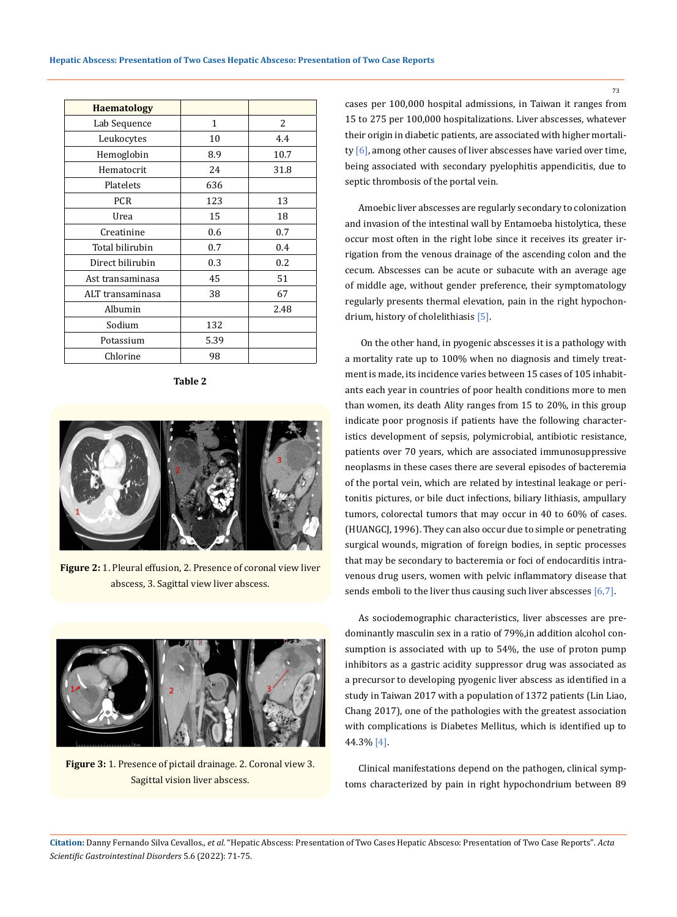| <b>Haematology</b> |              |      |
|--------------------|--------------|------|
| Lab Sequence       | $\mathbf{1}$ | 2    |
| Leukocytes         | 10           | 4.4  |
| Hemoglobin         | 8.9          | 10.7 |
| Hematocrit         | 24           | 31.8 |
| Platelets          | 636          |      |
| <b>PCR</b>         | 123          | 13   |
| Urea               | 15           | 18   |
| Creatinine         | 0.6          | 0.7  |
| Total bilirubin    | 0.7          | 0.4  |
| Direct bilirubin   | 0.3          | 0.2  |
| Ast transaminasa   | 45           | 51   |
| ALT transaminasa   | 38           | 67   |
| Albumin            |              | 2.48 |
| Sodium             | 132          |      |
| Potassium          | 5.39         |      |
| Chlorine           | 98           |      |

**Table 2**



**Figure 2:** 1. Pleural effusion, 2. Presence of coronal view liver abscess, 3. Sagittal view liver abscess.



**Figure 3:** 1. Presence of pictail drainage. 2. Coronal view 3. Sagittal vision liver abscess.

cases per 100,000 hospital admissions, in Taiwan it ranges from 15 to 275 per 100,000 hospitalizations. Liver abscesses, whatever their origin in diabetic patients, are associated with higher mortality [6], among other causes of liver abscesses have varied over time, being associated with secondary pyelophitis appendicitis, due to septic thrombosis of the portal vein.

Amoebic liver abscesses are regularly secondary to colonization and invasion of the intestinal wall by Entamoeba histolytica, these occur most often in the right lobe since it receives its greater irrigation from the venous drainage of the ascending colon and the cecum. Abscesses can be acute or subacute with an average age of middle age, without gender preference, their symptomatology regularly presents thermal elevation, pain in the right hypochondrium, history of cholelithiasis [5].

 On the other hand, in pyogenic abscesses it is a pathology with a mortality rate up to 100% when no diagnosis and timely treatment is made, its incidence varies between 15 cases of 105 inhabitants each year in countries of poor health conditions more to men than women, its death Ality ranges from 15 to 20%, in this group indicate poor prognosis if patients have the following characteristics development of sepsis, polymicrobial, antibiotic resistance, patients over 70 years, which are associated immunosuppressive neoplasms in these cases there are several episodes of bacteremia of the portal vein, which are related by intestinal leakage or peritonitis pictures, or bile duct infections, biliary lithiasis, ampullary tumors, colorectal tumors that may occur in 40 to 60% of cases. (HUANGCJ, 1996). They can also occur due to simple or penetrating surgical wounds, migration of foreign bodies, in septic processes that may be secondary to bacteremia or foci of endocarditis intravenous drug users, women with pelvic inflammatory disease that sends emboli to the liver thus causing such liver abscesses [6,7].

As sociodemographic characteristics, liver abscesses are predominantly masculin sex in a ratio of 79%,in addition alcohol consumption is associated with up to 54%, the use of proton pump inhibitors as a gastric acidity suppressor drug was associated as a precursor to developing pyogenic liver abscess as identified in a study in Taiwan 2017 with a population of 1372 patients (Lin Liao, Chang 2017), one of the pathologies with the greatest association with complications is Diabetes Mellitus, which is identified up to 44.3% [4].

Clinical manifestations depend on the pathogen, clinical symptoms characterized by pain in right hypochondrium between 89

**Citation:** Danny Fernando Silva Cevallos*., et al.* "Hepatic Abscess: Presentation of Two Cases Hepatic Absceso: Presentation of Two Case Reports". *Acta Scientific Gastrointestinal Disorders* 5.6 (2022): 71-75.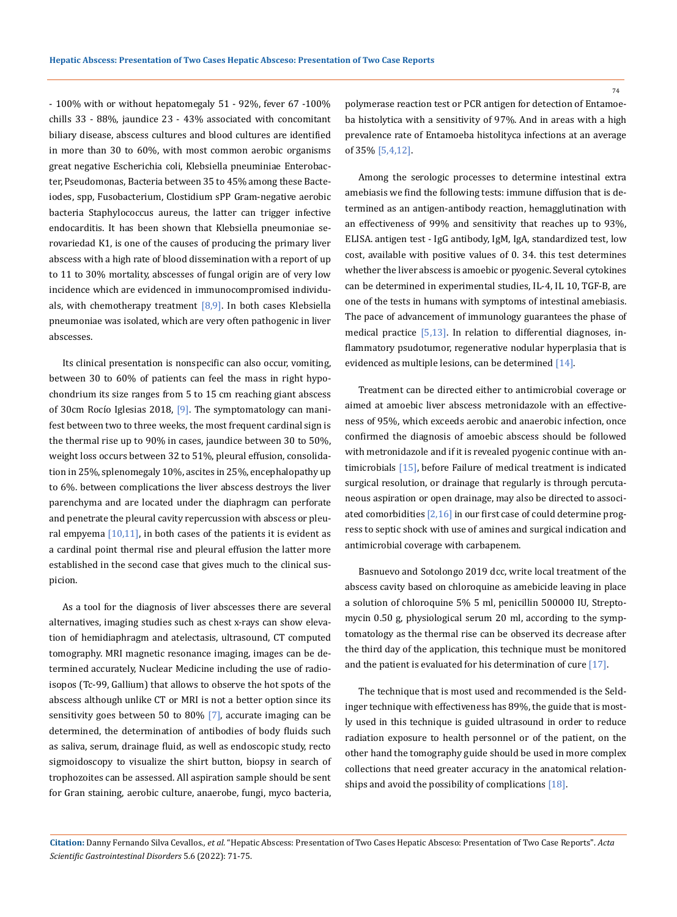- 100% with or without hepatomegaly 51 - 92%, fever 67 -100% chills 33 - 88%, jaundice 23 - 43% associated with concomitant biliary disease, abscess cultures and blood cultures are identified in more than 30 to 60%, with most common aerobic organisms great negative Escherichia coli, Klebsiella pneuminiae Enterobacter, Pseudomonas, Bacteria between 35 to 45% among these Bacteiodes, spp, Fusobacterium, Clostidium sPP Gram-negative aerobic bacteria Staphylococcus aureus, the latter can trigger infective endocarditis. It has been shown that Klebsiella pneumoniae serovariedad K1, is one of the causes of producing the primary liver abscess with a high rate of blood dissemination with a report of up to 11 to 30% mortality, abscesses of fungal origin are of very low incidence which are evidenced in immunocompromised individuals, with chemotherapy treatment  $[8,9]$ . In both cases Klebsiella pneumoniae was isolated, which are very often pathogenic in liver abscesses.

Its clinical presentation is nonspecific can also occur, vomiting, between 30 to 60% of patients can feel the mass in right hypochondrium its size ranges from 5 to 15 cm reaching giant abscess of 30cm Rocío Iglesias 2018, [9]. The symptomatology can manifest between two to three weeks, the most frequent cardinal sign is the thermal rise up to 90% in cases, jaundice between 30 to 50%, weight loss occurs between 32 to 51%, pleural effusion, consolidation in 25%, splenomegaly 10%, ascites in 25%, encephalopathy up to 6%. between complications the liver abscess destroys the liver parenchyma and are located under the diaphragm can perforate and penetrate the pleural cavity repercussion with abscess or pleural empyema  $[10,11]$ , in both cases of the patients it is evident as a cardinal point thermal rise and pleural effusion the latter more established in the second case that gives much to the clinical suspicion.

As a tool for the diagnosis of liver abscesses there are several alternatives, imaging studies such as chest x-rays can show elevation of hemidiaphragm and atelectasis, ultrasound, CT computed tomography. MRI magnetic resonance imaging, images can be determined accurately, Nuclear Medicine including the use of radioisopos (Tc-99, Gallium) that allows to observe the hot spots of the abscess although unlike CT or MRI is not a better option since its sensitivity goes between 50 to 80% [7], accurate imaging can be determined, the determination of antibodies of body fluids such as saliva, serum, drainage fluid, as well as endoscopic study, recto sigmoidoscopy to visualize the shirt button, biopsy in search of trophozoites can be assessed. All aspiration sample should be sent for Gran staining, aerobic culture, anaerobe, fungi, myco bacteria,

polymerase reaction test or PCR antigen for detection of Entamoeba histolytica with a sensitivity of 97%. And in areas with a high prevalence rate of Entamoeba histolityca infections at an average of 35% [5,4,12].

Among the serologic processes to determine intestinal extra amebiasis we find the following tests: immune diffusion that is determined as an antigen-antibody reaction, hemagglutination with an effectiveness of 99% and sensitivity that reaches up to 93%, ELISA. antigen test - IgG antibody, IgM, IgA, standardized test, low cost, available with positive values of 0. 34. this test determines whether the liver abscess is amoebic or pyogenic. Several cytokines can be determined in experimental studies, IL-4, IL 10, TGF-B, are one of the tests in humans with symptoms of intestinal amebiasis. The pace of advancement of immunology guarantees the phase of medical practice [5,13]. In relation to differential diagnoses, inflammatory psudotumor, regenerative nodular hyperplasia that is evidenced as multiple lesions, can be determined [14].

Treatment can be directed either to antimicrobial coverage or aimed at amoebic liver abscess metronidazole with an effectiveness of 95%, which exceeds aerobic and anaerobic infection, once confirmed the diagnosis of amoebic abscess should be followed with metronidazole and if it is revealed pyogenic continue with antimicrobials [15], before Failure of medical treatment is indicated surgical resolution, or drainage that regularly is through percutaneous aspiration or open drainage, may also be directed to associated comorbidities [2,16] in our first case of could determine progress to septic shock with use of amines and surgical indication and antimicrobial coverage with carbapenem.

Basnuevo and Sotolongo 2019 dcc, write local treatment of the abscess cavity based on chloroquine as amebicide leaving in place a solution of chloroquine 5% 5 ml, penicillin 500000 IU, Streptomycin 0.50 g, physiological serum 20 ml, according to the symptomatology as the thermal rise can be observed its decrease after the third day of the application, this technique must be monitored and the patient is evaluated for his determination of cure [17].

The technique that is most used and recommended is the Seldinger technique with effectiveness has 89%, the guide that is mostly used in this technique is guided ultrasound in order to reduce radiation exposure to health personnel or of the patient, on the other hand the tomography guide should be used in more complex collections that need greater accuracy in the anatomical relationships and avoid the possibility of complications [18].

**Citation:** Danny Fernando Silva Cevallos*., et al.* "Hepatic Abscess: Presentation of Two Cases Hepatic Absceso: Presentation of Two Case Reports". *Acta Scientific Gastrointestinal Disorders* 5.6 (2022): 71-75.